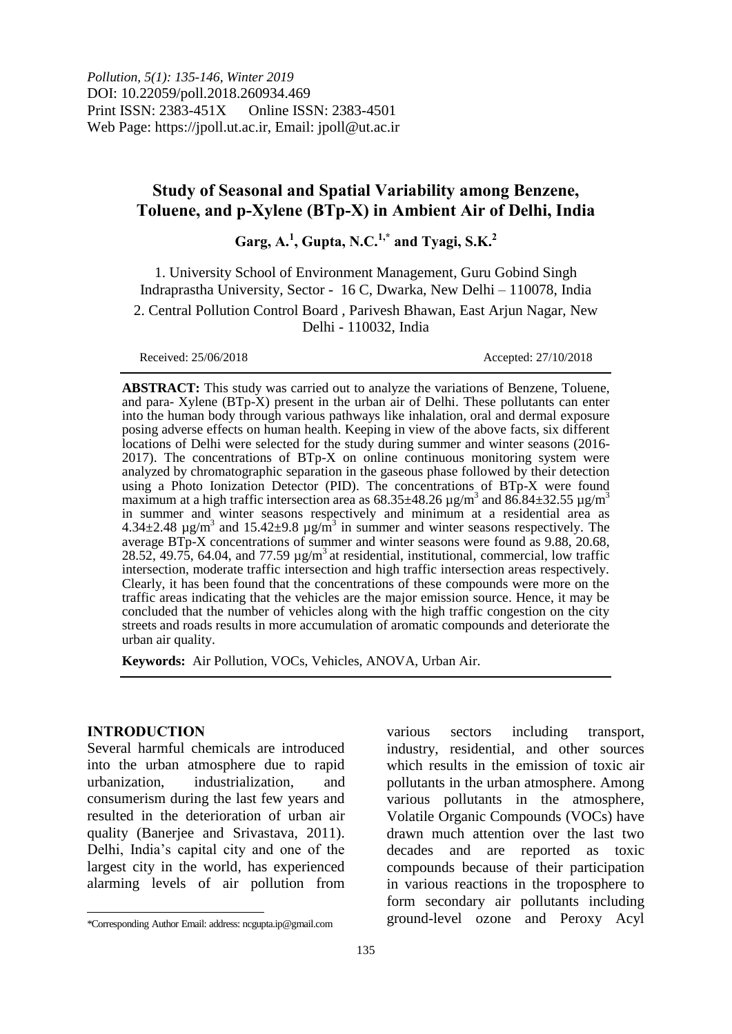*Pollution, 5(1): 135-146, Winter 2019* DOI: 10.22059/poll.2018.260934.469 Print ISSN: 2383-451X Online ISSN: 2383-4501 Web Page: https://jpoll.ut.ac.ir, Email: jpoll@ut.ac.ir

# **Study of Seasonal and Spatial Variability among Benzene, Toluene, and p-Xylene (BTp-X) in Ambient Air of Delhi, India**

**Garg, A.<sup>1</sup> , Gupta, N.C.1,\* and Tyagi, S.K.<sup>2</sup>**

1. University School of Environment Management, Guru Gobind Singh Indraprastha University, Sector - 16 C, Dwarka, New Delhi – 110078, India 2. Central Pollution Control Board , Parivesh Bhawan, East Arjun Nagar, New Delhi - 110032, India

Received: 25/06/2018 Accepted: 27/10/2018

**ABSTRACT:** This study was carried out to analyze the variations of Benzene, Toluene, and para- Xylene (BTp-X) present in the urban air of Delhi. These pollutants can enter into the human body through various pathways like inhalation, oral and dermal exposure posing adverse effects on human health. Keeping in view of the above facts, six different locations of Delhi were selected for the study during summer and winter seasons (2016- 2017). The concentrations of BTp-X on online continuous monitoring system were analyzed by chromatographic separation in the gaseous phase followed by their detection using a Photo Ionization Detector (PID). The concentrations of BTp-X were found maximum at a high traffic intersection area as  $68.35\pm48.26$  µg/m<sup>3</sup> and  $86.84\pm32.55$  µg/m<sup>3</sup> in summer and winter seasons respectively and minimum at a residential area as  $4.34\pm2.48$  µg/m<sup>3</sup> and  $15.42\pm9.8$  µg/m<sup>3</sup> in summer and winter seasons respectively. The average BTp-X concentrations of summer and winter seasons were found as 9.88, 20.68, 28.52, 49.75, 64.04, and 77.59  $\mu$ g/m<sup>3</sup> at residential, institutional, commercial, low traffic intersection, moderate traffic intersection and high traffic intersection areas respectively. Clearly, it has been found that the concentrations of these compounds were more on the traffic areas indicating that the vehicles are the major emission source. Hence, it may be concluded that the number of vehicles along with the high traffic congestion on the city streets and roads results in more accumulation of aromatic compounds and deteriorate the urban air quality.

**Keywords:** Air Pollution, VOCs, Vehicles, ANOVA, Urban Air.

### **INTRODUCTION**

 $\overline{a}$ 

Several harmful chemicals are introduced into the urban atmosphere due to rapid urbanization, industrialization, and consumerism during the last few years and resulted in the deterioration of urban air quality (Banerjee and Srivastava, 2011). Delhi, India's capital city and one of the largest city in the world, has experienced alarming levels of air pollution from

various sectors including transport, industry, residential, and other sources which results in the emission of toxic air pollutants in the urban atmosphere. Among various pollutants in the atmosphere, Volatile Organic Compounds (VOCs) have drawn much attention over the last two decades and are reported as toxic compounds because of their participation in various reactions in the troposphere to form secondary air pollutants including ground-level ozone and Peroxy Acyl

<sup>\*</sup>Corresponding Author Email: address: ncgupta.ip@gmail.com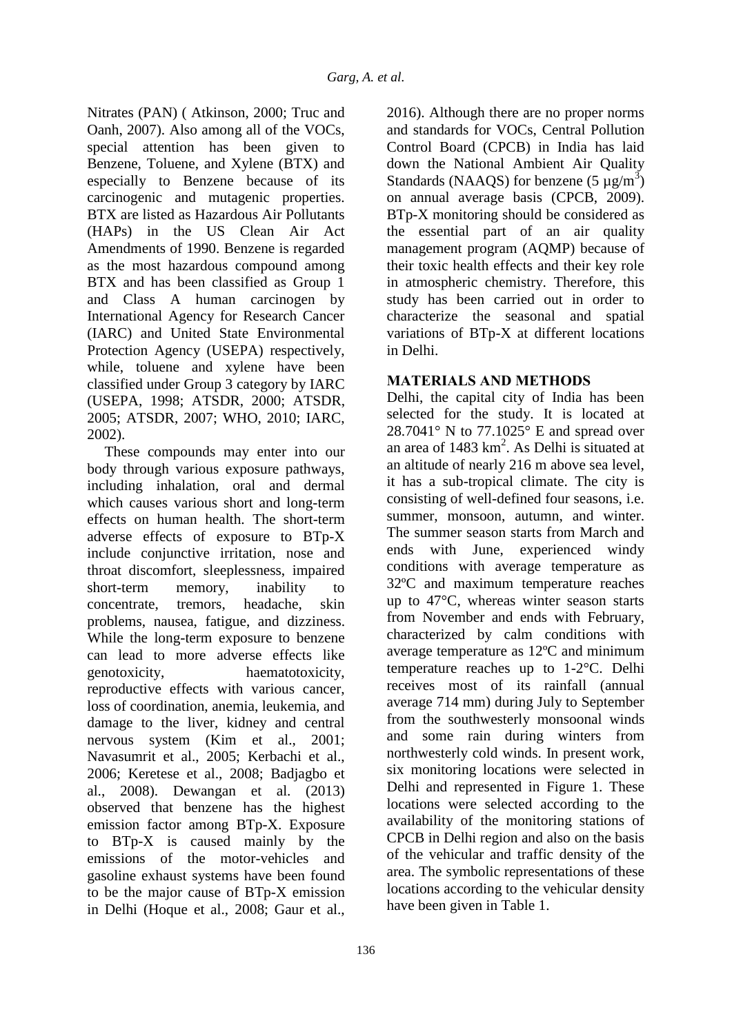Nitrates (PAN) ( Atkinson, 2000; Truc and Oanh, 2007). Also among all of the VOCs, special attention has been given to Benzene, Toluene, and Xylene (BTX) and especially to Benzene because of its carcinogenic and mutagenic properties. BTX are listed as Hazardous Air Pollutants (HAPs) in the US Clean Air Act Amendments of 1990. Benzene is regarded as the most hazardous compound among BTX and has been classified as Group 1 and Class A human carcinogen by International Agency for Research Cancer (IARC) and United State Environmental Protection Agency (USEPA) respectively, while, toluene and xylene have been classified under Group 3 category by IARC (USEPA, 1998; ATSDR, 2000; ATSDR, 2005; ATSDR, 2007; WHO, 2010; IARC, 2002).

These compounds may enter into our body through various exposure pathways, including inhalation, oral and dermal which causes various short and long-term effects on human health. The short-term adverse effects of exposure to BTp-X include conjunctive irritation, nose and throat discomfort, sleeplessness, impaired short-term memory, inability to concentrate, tremors, headache, skin problems, nausea, fatigue, and dizziness. While the long-term exposure to benzene can lead to more adverse effects like genotoxicity, haematotoxicity, reproductive effects with various cancer, loss of coordination, anemia, leukemia, and damage to the liver, kidney and central nervous system (Kim et al., 2001; Navasumrit et al., 2005; Kerbachi et al., 2006; Keretese et al., 2008; Badjagbo et al., 2008). Dewangan et al. (2013) observed that benzene has the highest emission factor among BTp-X. Exposure to BTp-X is caused mainly by the emissions of the motor-vehicles and gasoline exhaust systems have been found to be the major cause of BTp-X emission in Delhi (Hoque et al., 2008; Gaur et al.,

2016). Although there are no proper norms and standards for VOCs, Central Pollution Control Board (CPCB) in India has laid down the National Ambient Air Quality Standards (NAAQS) for benzene  $(5 \mu g/m^3)$ on annual average basis (CPCB, 2009). BTp-X monitoring should be considered as the essential part of an air quality management program (AQMP) because of their toxic health effects and their key role in atmospheric chemistry. Therefore, this study has been carried out in order to characterize the seasonal and spatial variations of BTp-X at different locations in Delhi.

# **MATERIALS AND METHODS**

Delhi, the capital city of India has been selected for the study. It is located at 28.7041 $\degree$  N to 77.1025 $\degree$  E and spread over an area of  $1483 \text{ km}^2$ . As Delhi is situated at an altitude of nearly 216 m above sea level, it has a sub-tropical climate. The city is consisting of well-defined four seasons, i.e. summer, monsoon, autumn, and winter. The summer season starts from March and ends with June, experienced windy conditions with average temperature as 32ºC and maximum temperature reaches up to 47°C, whereas winter season starts from November and ends with February, characterized by calm conditions with average temperature as 12ºC and minimum temperature reaches up to 1-2°C. Delhi receives most of its rainfall (annual average 714 mm) during July to September from the southwesterly monsoonal winds and some rain during winters from northwesterly cold winds. In present work, six monitoring locations were selected in Delhi and represented in Figure 1. These locations were selected according to the availability of the monitoring stations of CPCB in Delhi region and also on the basis of the vehicular and traffic density of the area. The symbolic representations of these locations according to the vehicular density have been given in Table 1.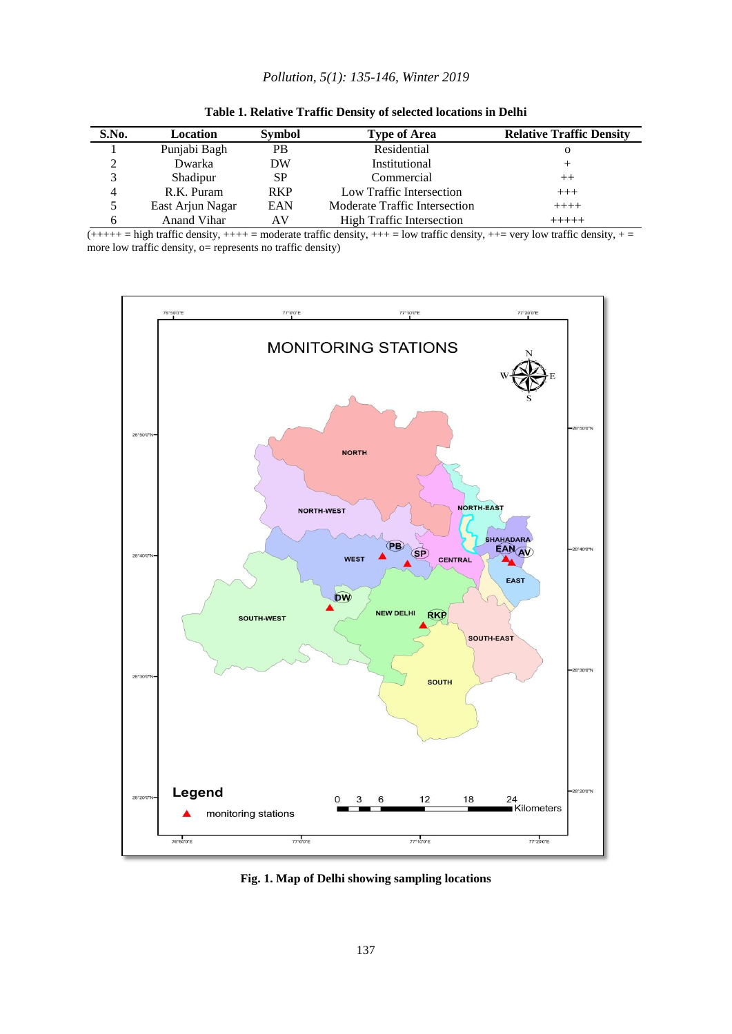#### *Pollution, 5(1): 135-146, Winter 2019*

| S.No.        | Location         | <b>Symbol</b> | <b>Type of Area</b>              | <b>Relative Traffic Density</b> |
|--------------|------------------|---------------|----------------------------------|---------------------------------|
|              | Punjabi Bagh     | PB.           | Residential                      | О                               |
|              | Dwarka           | DW            | Institutional                    | +                               |
|              | Shadipur         | SP            | Commercial                       | $^{++}$                         |
| 4            | R.K. Puram       | <b>RKP</b>    | Low Traffic Intersection         | $^{+++}$                        |
|              | East Arjun Nagar | EAN           | Moderate Traffic Intersection    | $+++++$                         |
| <sub>0</sub> | Anand Vihar      | ΑV            | <b>High Traffic Intersection</b> | $+++++$                         |

| Table 1. Relative Traffic Density of selected locations in Delhi |
|------------------------------------------------------------------|
|------------------------------------------------------------------|

 $(++++$  = high traffic density,  $+++$  = moderate traffic density,  $++$  = low traffic density,  $+-$  very low traffic density,  $+$ more low traffic density, o= represents no traffic density)



**Fig. 1. Map of Delhi showing sampling locations**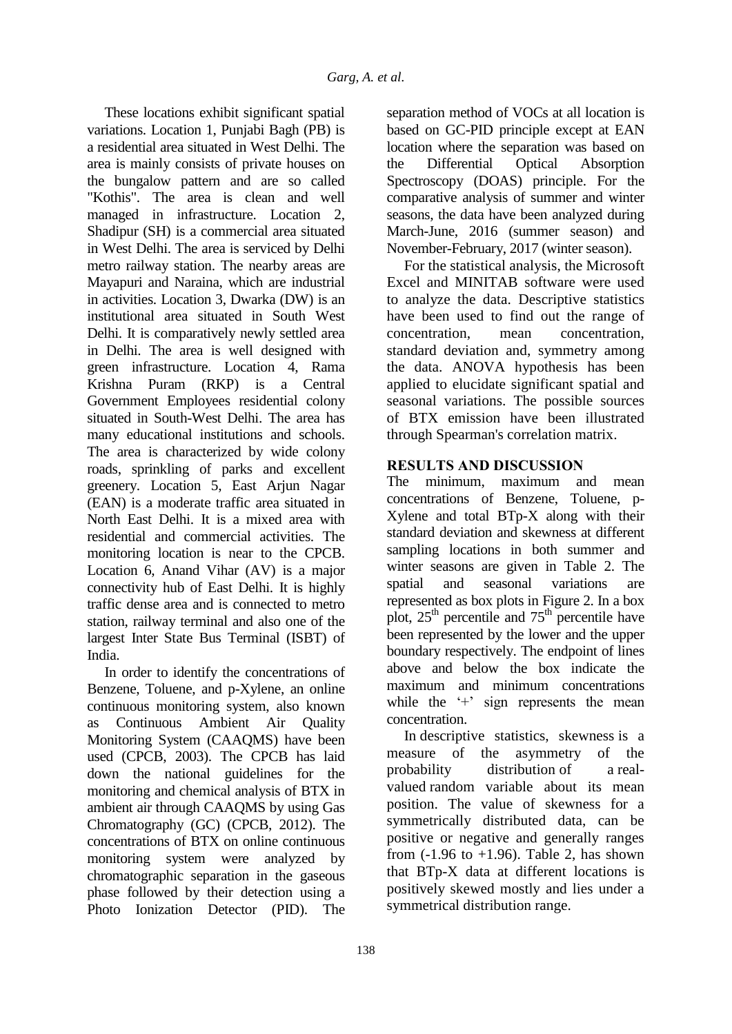These locations exhibit significant spatial variations. Location 1, Punjabi Bagh (PB) is a residential area situated in West Delhi. The area is mainly consists of private houses on the bungalow pattern and are so called "Kothis". The area is clean and well managed in infrastructure. Location 2, Shadipur (SH) is a commercial area situated in West Delhi. The area is serviced by Delhi metro railway station. The nearby areas are Mayapuri and Naraina, which are industrial in activities. Location 3, Dwarka (DW) is an institutional area situated in South West Delhi. It is comparatively newly settled area in Delhi. The area is well designed with green infrastructure. Location 4, Rama Krishna Puram (RKP) is a Central Government Employees residential colony situated in South-West Delhi. The area has many educational institutions and schools. The area is characterized by wide colony roads, sprinkling of parks and excellent greenery. Location 5, East Arjun Nagar (EAN) is a moderate traffic area situated in North East Delhi. It is a mixed area with residential and commercial activities. The monitoring location is near to the CPCB. Location 6, Anand Vihar (AV) is a major connectivity hub of East Delhi. It is highly traffic dense area and is connected to metro station, railway terminal and also one of the largest Inter State Bus Terminal (ISBT) of India.

In order to identify the concentrations of Benzene, Toluene, and p-Xylene, an online continuous monitoring system, also known as Continuous Ambient Air Quality Monitoring System (CAAQMS) have been used (CPCB, 2003). The CPCB has laid down the national guidelines for the monitoring and chemical analysis of BTX in ambient air through CAAQMS by using Gas Chromatography (GC) (CPCB, 2012). The concentrations of BTX on online continuous monitoring system were analyzed by chromatographic separation in the gaseous phase followed by their detection using a Photo Ionization Detector (PID). The

based on GC-PID principle except at EAN location where the separation was based on the Differential Optical Absorption Spectroscopy (DOAS) principle. For the comparative analysis of summer and winter seasons, the data have been analyzed during March-June, 2016 (summer season) and November-February, 2017 (winter season). For the statistical analysis, the Microsoft

separation method of VOCs at all location is

Excel and MINITAB software were used to analyze the data. Descriptive statistics have been used to find out the range of concentration, mean concentration, standard deviation and, symmetry among the data. ANOVA hypothesis has been applied to elucidate significant spatial and seasonal variations. The possible sources of BTX emission have been illustrated through Spearman's correlation matrix.

## **RESULTS AND DISCUSSION**

The minimum, maximum and mean concentrations of Benzene, Toluene, p-Xylene and total BTp-X along with their standard deviation and skewness at different sampling locations in both summer and winter seasons are given in Table 2. The spatial and seasonal variations are represented as box plots in Figure 2. In a box plot,  $25<sup>th</sup>$  percentile and  $75<sup>th</sup>$  percentile have been represented by the lower and the upper boundary respectively. The endpoint of lines above and below the box indicate the maximum and minimum concentrations while the '+' sign represents the mean concentration.

In descriptive statistics, skewness is a measure of the asymmetry of the probability distribution of a realvalued random variable about its mean position. The value of skewness for a symmetrically distributed data, can be positive or negative and generally ranges from  $(-1.96 \text{ to } +1.96)$ . Table 2, has shown that BTp-X data at different locations is positively skewed mostly and lies under a symmetrical distribution range.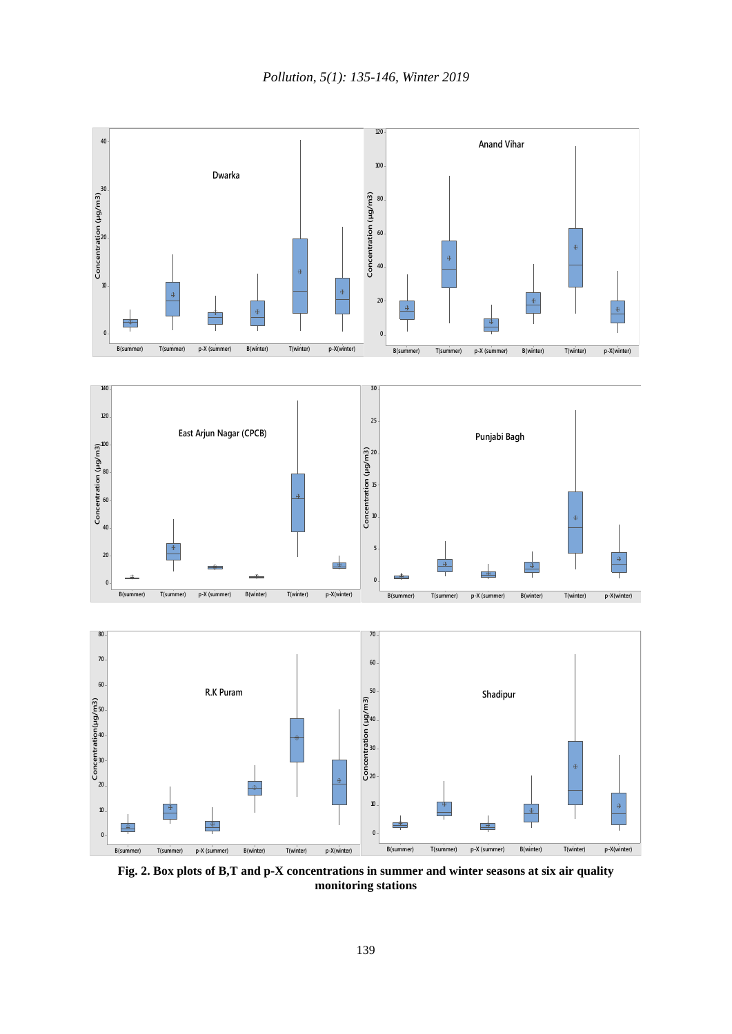

**Fig. 2. Box plots of B,T and p-X concentrations in summer and winter seasons at six air quality monitoring stations**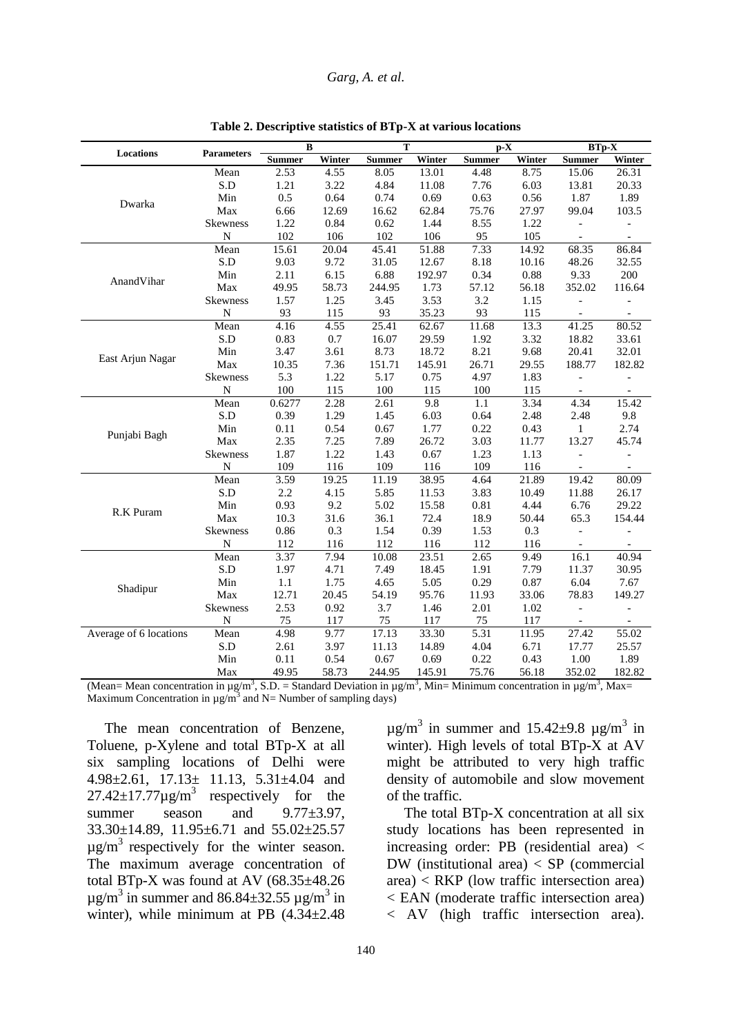#### *Garg, A. et al.*

| <b>Locations</b>       | <b>Parameters</b>  | $\bf{B}$      |        | $\overline{T}$ |        | $p-X$         |        | $BTp-X$                  |                          |
|------------------------|--------------------|---------------|--------|----------------|--------|---------------|--------|--------------------------|--------------------------|
|                        |                    | <b>Summer</b> | Winter | <b>Summer</b>  | Winter | <b>Summer</b> | Winter | <b>Summer</b>            | Winter                   |
|                        | Mean               | 2.53          | 4.55   | 8.05           | 13.01  | 4.48          | 8.75   | 15.06                    | 26.31                    |
|                        | S.D                | 1.21          | 3.22   | 4.84           | 11.08  | 7.76          | 6.03   | 13.81                    | 20.33                    |
| Dwarka                 | Min                | 0.5           | 0.64   | 0.74           | 0.69   | 0.63          | 0.56   | 1.87                     | 1.89                     |
|                        | Max                | 6.66          | 12.69  | 16.62          | 62.84  | 75.76         | 27.97  | 99.04                    | 103.5                    |
|                        | <b>Skewness</b>    | 1.22          | 0.84   | 0.62           | 1.44   | 8.55          | 1.22   |                          |                          |
|                        | $\mathbf N$        | 102           | 106    | 102            | 106    | 95            | 105    | $\overline{\phantom{a}}$ | $\overline{\phantom{a}}$ |
|                        | Mean               | 15.61         | 20.04  | 45.41          | 51.88  | 7.33          | 14.92  | 68.35                    | 86.84                    |
|                        | S.D                | 9.03          | 9.72   | 31.05          | 12.67  | 8.18          | 10.16  | 48.26                    | 32.55                    |
| AnandVihar             | Min                | 2.11          | 6.15   | 6.88           | 192.97 | 0.34          | 0.88   | 9.33                     | 200                      |
|                        | Max                | 49.95         | 58.73  | 244.95         | 1.73   | 57.12         | 56.18  | 352.02                   | 116.64                   |
|                        | Skewness           | 1.57          | 1.25   | 3.45           | 3.53   | 3.2           | 1.15   |                          |                          |
|                        | $\overline{\rm N}$ | 93            | 115    | 93             | 35.23  | 93            | 115    | $\equiv$                 |                          |
|                        | Mean               | 4.16          | 4.55   | 25.41          | 62.67  | 11.68         | 13.3   | 41.25                    | 80.52                    |
|                        | S.D                | 0.83          | 0.7    | 16.07          | 29.59  | 1.92          | 3.32   | 18.82                    | 33.61                    |
| East Arjun Nagar       | Min                | 3.47          | 3.61   | 8.73           | 18.72  | 8.21          | 9.68   | 20.41                    | 32.01                    |
|                        | Max                | 10.35         | 7.36   | 151.71         | 145.91 | 26.71         | 29.55  | 188.77                   | 182.82                   |
|                        | Skewness           | 5.3           | 1.22   | 5.17           | 0.75   | 4.97          | 1.83   |                          |                          |
|                        | ${\bf N}$          | 100           | 115    | 100            | 115    | 100           | 115    | $\blacksquare$           | $\overline{\phantom{a}}$ |
|                        | Mean               | 0.6277        | 2.28   | 2.61           | 9.8    | 1.1           | 3.34   | 4.34                     | 15.42                    |
|                        | S.D                | 0.39          | 1.29   | 1.45           | 6.03   | 0.64          | 2.48   | 2.48                     | 9.8                      |
| Punjabi Bagh           | Min                | 0.11          | 0.54   | 0.67           | 1.77   | 0.22          | 0.43   | $\mathbf{1}$             | 2.74                     |
|                        | Max                | 2.35          | 7.25   | 7.89           | 26.72  | 3.03          | 11.77  | 13.27                    | 45.74                    |
|                        | <b>Skewness</b>    | 1.87          | 1.22   | 1.43           | 0.67   | 1.23          | 1.13   | $\overline{a}$           |                          |
|                        | N                  | 109           | 116    | 109            | 116    | 109           | 116    |                          |                          |
|                        | Mean               | 3.59          | 19.25  | 11.19          | 38.95  | 4.64          | 21.89  | 19.42                    | 80.09                    |
|                        | S.D                | 2.2           | 4.15   | 5.85           | 11.53  | 3.83          | 10.49  | 11.88                    | 26.17                    |
| R.K Puram              | Min                | 0.93          | 9.2    | 5.02           | 15.58  | 0.81          | 4.44   | 6.76                     | 29.22                    |
|                        | Max                | 10.3          | 31.6   | 36.1           | 72.4   | 18.9          | 50.44  | 65.3                     | 154.44                   |
|                        | Skewness           | 0.86          | 0.3    | 1.54           | 0.39   | 1.53          | 0.3    | $\overline{a}$           |                          |
|                        | ${\bf N}$          | 112           | 116    | 112            | 116    | 112           | 116    | $\overline{\phantom{a}}$ |                          |
|                        | Mean               | 3.37          | 7.94   | 10.08          | 23.51  | 2.65          | 9.49   | 16.1                     | 40.94                    |
|                        | S.D                | 1.97          | 4.71   | 7.49           | 18.45  | 1.91          | 7.79   | 11.37                    | 30.95                    |
| Shadipur               | Min                | $1.1\,$       | 1.75   | 4.65           | 5.05   | 0.29          | 0.87   | 6.04                     | 7.67                     |
|                        | Max                | 12.71         | 20.45  | 54.19          | 95.76  | 11.93         | 33.06  | 78.83                    | 149.27                   |
|                        | Skewness           | 2.53          | 0.92   | 3.7            | 1.46   | 2.01          | 1.02   | $\overline{a}$           |                          |
|                        | N                  | 75            | 117    | 75             | 117    | 75            | 117    |                          |                          |
| Average of 6 locations | Mean               | 4.98          | 9.77   | 17.13          | 33.30  | 5.31          | 11.95  | 27.42                    | 55.02                    |
|                        | S.D                | 2.61          | 3.97   | 11.13          | 14.89  | 4.04          | 6.71   | 17.77                    | 25.57                    |
|                        | Min                | 0.11          | 0.54   | 0.67           | 0.69   | 0.22          | 0.43   | 1.00                     | 1.89                     |
|                        | Max                | 49.95         | 58.73  | 244.95         | 145.91 | 75.76         | 56.18  | 352.02                   | 182.82                   |

**Table 2. Descriptive statistics of BTp-X at various locations**

(Mean= Mean concentration in  $\mu$ g/m<sup>3</sup>, S.D. = Standard Deviation in  $\mu$ g/m<sup>3</sup>, Min= Minimum concentration in  $\mu$ g/m<sup>3</sup>, Max= Maximum Concentration in  $\mu$ g/m<sup>3</sup> and N= Number of sampling days)

The mean concentration of Benzene, Toluene, p-Xylene and total BTp-X at all six sampling locations of Delhi were 4.98±2.61, 17.13± 11.13, 5.31±4.04 and  $27.42 \pm 17.77 \mu g/m^3$  respectively for the summer season and  $9.77\pm3.97$ , 33.30±14.89, 11.95±6.71 and 55.02±25.57  $\mu$ g/m<sup>3</sup> respectively for the winter season. The maximum average concentration of total BTp-X was found at AV  $(68.35\pm48.26$  $\mu$ g/m<sup>3</sup> in summer and 86.84 $\pm$ 32.55  $\mu$ g/m<sup>3</sup> in winter), while minimum at PB (4.34±2.48

 $\mu$ g/m<sup>3</sup> in summer and 15.42±9.8  $\mu$ g/m<sup>3</sup> in winter). High levels of total BTp-X at AV might be attributed to very high traffic density of automobile and slow movement of the traffic.

The total BTp-X concentration at all six study locations has been represented in increasing order: PB (residential area) < DW (institutional area) < SP (commercial area) < RKP (low traffic intersection area) < EAN (moderate traffic intersection area) < AV (high traffic intersection area).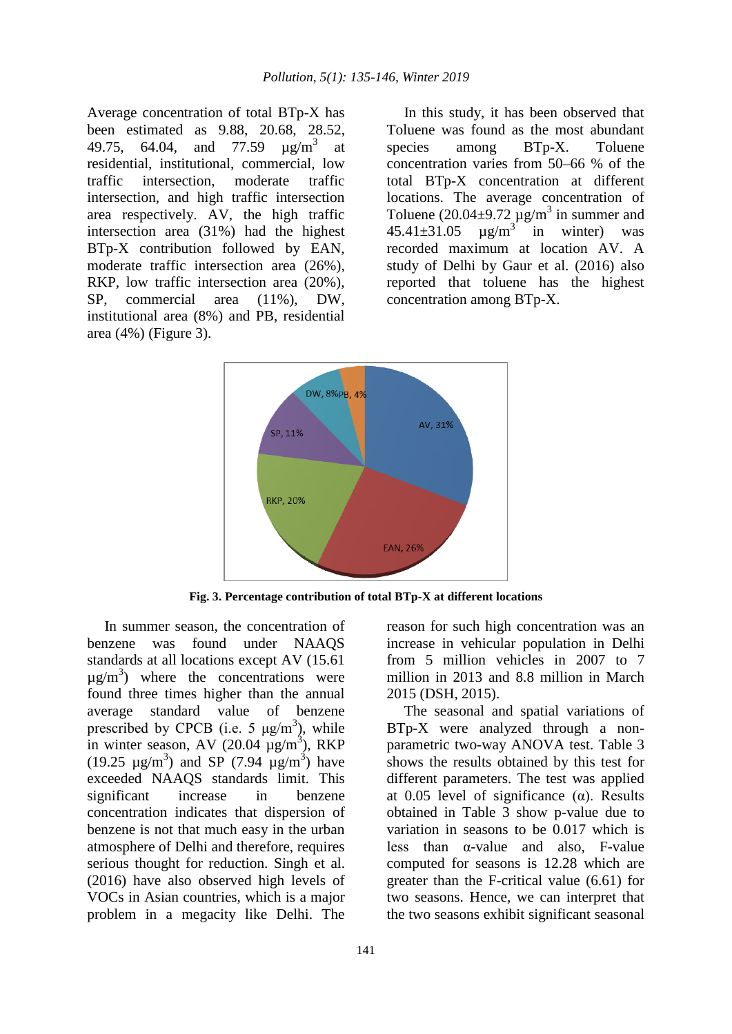Average concentration of total BTp-X has been estimated as 9.88, 20.68, 28.52, 49.75, 64.04, and 77.59  $\mu$ g/m<sup>3</sup> at residential, institutional, commercial, low traffic intersection, moderate traffic intersection, and high traffic intersection area respectively. AV, the high traffic intersection area (31%) had the highest BTp-X contribution followed by EAN, moderate traffic intersection area (26%), RKP, low traffic intersection area (20%), SP, commercial area (11%), DW, institutional area (8%) and PB, residential area (4%) (Figure 3).

In this study, it has been observed that Toluene was found as the most abundant species among BTp-X. Toluene concentration varies from 50–66 % of the total BTp-X concentration at different locations. The average concentration of Toluene (20.04 $\pm$ 9.72  $\mu$ g/m<sup>3</sup> in summer and  $45.41 \pm 31.05$  $\mu$ g/m<sup>3</sup> in winter) was recorded maximum at location AV. A study of Delhi by Gaur et al. (2016) also reported that toluene has the highest concentration among BTp-X.



**Fig. 3. Percentage contribution of total BTp-X at different locations**

In summer season, the concentration of benzene was found under NAAQS standards at all locations except AV (15.61  $\mu$ g/m<sup>3</sup>) where the concentrations were found three times higher than the annual average standard value of benzene prescribed by CPCB (i.e. 5  $\mu$ g/m<sup>3</sup>), while in winter season, AV  $(20.04 \mu g/m^3)$ , RKP (19.25  $\mu$ g/m<sup>3</sup>) and SP (7.94  $\mu$ g/m<sup>3</sup>) have exceeded NAAQS standards limit. This significant increase in benzene concentration indicates that dispersion of benzene is not that much easy in the urban atmosphere of Delhi and therefore, requires serious thought for reduction. Singh et al. (2016) have also observed high levels of VOCs in Asian countries, which is a major problem in a megacity like Delhi. The

reason for such high concentration was an increase in vehicular population in Delhi from 5 million vehicles in 2007 to 7 million in 2013 and 8.8 million in March 2015 (DSH, 2015).

The seasonal and spatial variations of BTp-X were analyzed through a nonparametric two-way ANOVA test. Table 3 shows the results obtained by this test for different parameters. The test was applied at 0.05 level of significance  $(\alpha)$ . Results obtained in Table 3 show p-value due to variation in seasons to be 0.017 which is less than  $\alpha$ -value and also, F-value computed for seasons is 12.28 which are greater than the F-critical value (6.61) for two seasons. Hence, we can interpret that the two seasons exhibit significant seasonal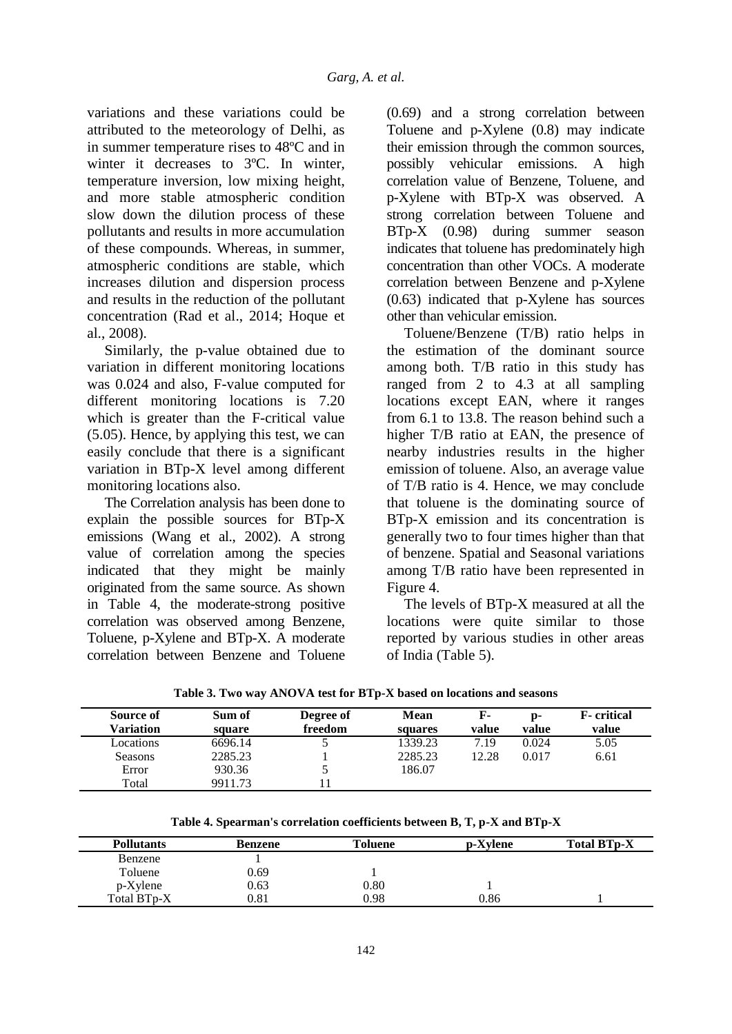variations and these variations could be attributed to the meteorology of Delhi, as in summer temperature rises to 48ºC and in winter it decreases to 3ºC. In winter, temperature inversion, low mixing height, and more stable atmospheric condition slow down the dilution process of these pollutants and results in more accumulation of these compounds. Whereas, in summer, atmospheric conditions are stable, which increases dilution and dispersion process and results in the reduction of the pollutant concentration (Rad et al., 2014; Hoque et al., 2008).

Similarly, the p-value obtained due to variation in different monitoring locations was 0.024 and also, F-value computed for different monitoring locations is 7.20 which is greater than the F-critical value (5.05). Hence, by applying this test, we can easily conclude that there is a significant variation in BTp-X level among different monitoring locations also.

The Correlation analysis has been done to explain the possible sources for BTp-X emissions (Wang et al., 2002). A strong value of correlation among the species indicated that they might be mainly originated from the same source. As shown in Table 4, the moderate-strong positive correlation was observed among Benzene, Toluene, p-Xylene and BTp-X. A moderate correlation between Benzene and Toluene

(0.69) and a strong correlation between Toluene and p-Xylene (0.8) may indicate their emission through the common sources, possibly vehicular emissions. A high correlation value of Benzene, Toluene, and p-Xylene with BTp-X was observed. A strong correlation between Toluene and BTp-X (0.98) during summer season indicates that toluene has predominately high concentration than other VOCs. A moderate correlation between Benzene and p-Xylene (0.63) indicated that p-Xylene has sources other than vehicular emission.

Toluene/Benzene (T/B) ratio helps in the estimation of the dominant source among both. T/B ratio in this study has ranged from 2 to 4.3 at all sampling locations except EAN, where it ranges from 6.1 to 13.8. The reason behind such a higher T/B ratio at EAN, the presence of nearby industries results in the higher emission of toluene. Also, an average value of T/B ratio is 4. Hence, we may conclude that toluene is the dominating source of BTp-X emission and its concentration is generally two to four times higher than that of benzene. Spatial and Seasonal variations among T/B ratio have been represented in Figure 4.

The levels of BTp-X measured at all the locations were quite similar to those reported by various studies in other areas of India (Table 5).

| Source of<br>Variation | Sum of<br>square | Degree of<br>freedom | <b>Mean</b><br>squares | F-<br>value | p-<br>value | <b>F</b> -critical<br>value |
|------------------------|------------------|----------------------|------------------------|-------------|-------------|-----------------------------|
| Locations              | 6696.14          |                      | 1339.23                | 7.19        | 0.024       | 5.05                        |
| Seasons                | 2285.23          |                      | 2285.23                | 12.28       | 0.017       | 6.61                        |
| Error                  | 930.36           |                      | 186.07                 |             |             |                             |
| Total                  | 9911.73          |                      |                        |             |             |                             |

**Table 3. Two way ANOVA test for BTp-X based on locations and seasons**

**Table 4. Spearman's correlation coefficients between B, T, p-X and BTp-X**

| <b>Pollutants</b> | Benzene    | Toluene | p-Xylene | <b>Total BTp-X</b> |
|-------------------|------------|---------|----------|--------------------|
| Benzene           |            |         |          |                    |
| Toluene           | 0.69       |         |          |                    |
| $p$ -Xylene       | 0.63       | 0.80    |          |                    |
| Total BTp-X       | $\rm 0.81$ | 0.98    | 0.86     |                    |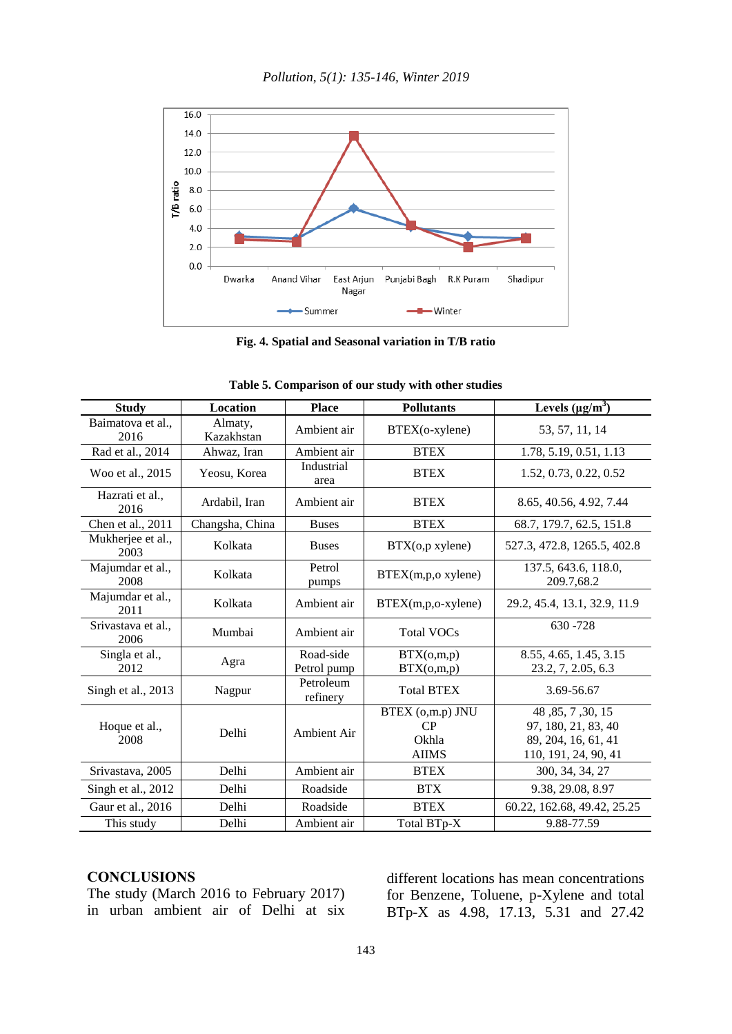

**Fig. 4. Spatial and Seasonal variation in T/B ratio**

| <b>Study</b>               | Location                                   | <b>Place</b>             | <b>Pollutants</b>                               | Levels $(\mu g/m^3)$                                                                    |  |  |  |  |  |
|----------------------------|--------------------------------------------|--------------------------|-------------------------------------------------|-----------------------------------------------------------------------------------------|--|--|--|--|--|
| 2016                       | Baimatova et al.,<br>Almaty,<br>Kazakhstan |                          | BTEX(o-xylene)                                  | 53, 57, 11, 14                                                                          |  |  |  |  |  |
| Rad et al., 2014           | Ahwaz, Iran                                | Ambient air              | <b>BTEX</b>                                     | 1.78, 5.19, 0.51, 1.13                                                                  |  |  |  |  |  |
| Woo et al., 2015           | Yeosu, Korea                               | Industrial<br>area       | <b>BTEX</b>                                     | 1.52, 0.73, 0.22, 0.52                                                                  |  |  |  |  |  |
| Hazrati et al.,<br>2016    | Ardabil, Iran                              | Ambient air              | <b>BTEX</b>                                     | 8.65, 40.56, 4.92, 7.44                                                                 |  |  |  |  |  |
| Chen et al., 2011          | Changsha, China                            | <b>Buses</b>             | <b>BTEX</b>                                     | 68.7, 179.7, 62.5, 151.8                                                                |  |  |  |  |  |
| Mukherjee et al.,<br>2003  | Kolkata                                    | <b>Buses</b>             | BTX(o,pxylene)                                  | 527.3, 472.8, 1265.5, 402.8                                                             |  |  |  |  |  |
| Majumdar et al.,<br>2008   | Kolkata                                    | Petrol<br>pumps          | BTEX(m,p,oxylene)                               | 137.5, 643.6, 118.0,<br>209.7,68.2                                                      |  |  |  |  |  |
| Majumdar et al.,<br>2011   | Kolkata                                    | Ambient air              | $BTEX(m,p,o-xylene)$                            | 29.2, 45.4, 13.1, 32.9, 11.9                                                            |  |  |  |  |  |
| Srivastava et al.,<br>2006 | Mumbai                                     | Ambient air              | <b>Total VOCs</b>                               | $630 - 728$                                                                             |  |  |  |  |  |
| Singla et al.,<br>2012     | Agra                                       | Road-side<br>Petrol pump | BTX(o,m,p)<br>BTX(o,m,p)                        | 8.55, 4.65, 1.45, 3.15<br>23.2, 7, 2.05, 6.3                                            |  |  |  |  |  |
| Singh et al., 2013         | Nagpur                                     | Petroleum<br>refinery    | <b>Total BTEX</b>                               | 3.69-56.67                                                                              |  |  |  |  |  |
| Hoque et al.,<br>2008      | Delhi                                      | Ambient Air              | BTEX (o,m.p) JNU<br>CP<br>Okhla<br><b>AIIMS</b> | 48, 85, 7, 30, 15<br>97, 180, 21, 83, 40<br>89, 204, 16, 61, 41<br>110, 191, 24, 90, 41 |  |  |  |  |  |
| Srivastava, 2005           | Delhi                                      | Ambient air              | <b>BTEX</b>                                     | 300, 34, 34, 27                                                                         |  |  |  |  |  |
| Singh et al., 2012         | Delhi                                      | Roadside                 | <b>BTX</b>                                      | 9.38, 29.08, 8.97                                                                       |  |  |  |  |  |
| Gaur et al., 2016          | Delhi                                      | Roadside                 | <b>BTEX</b>                                     | 60.22, 162.68, 49.42, 25.25                                                             |  |  |  |  |  |
| This study                 | Delhi                                      | Ambient air              | Total BTp-X                                     | 9.88-77.59                                                                              |  |  |  |  |  |

| Table 5. Comparison of our study with other studies |  |  |  |  |  |  |
|-----------------------------------------------------|--|--|--|--|--|--|
|-----------------------------------------------------|--|--|--|--|--|--|

### **CONCLUSIONS**

The study (March 2016 to February 2017) in urban ambient air of Delhi at six different locations has mean concentrations for Benzene, Toluene, p-Xylene and total BTp-X as 4.98, 17.13, 5.31 and 27.42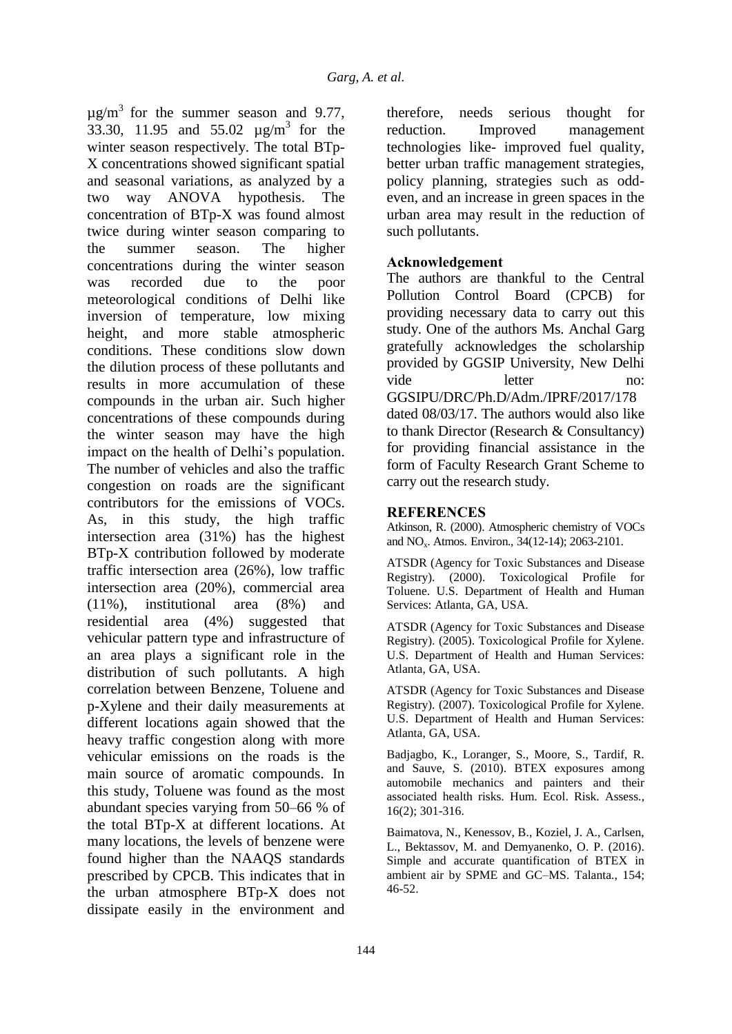$\mu$ g/m<sup>3</sup> for the summer season and 9.77, 33.30, 11.95 and  $55.02 \text{ µg/m}^3$  for the winter season respectively. The total BTp-X concentrations showed significant spatial and seasonal variations, as analyzed by a two way ANOVA hypothesis. The concentration of BTp-X was found almost twice during winter season comparing to the summer season. The higher concentrations during the winter season was recorded due to the poor meteorological conditions of Delhi like inversion of temperature, low mixing height, and more stable atmospheric conditions. These conditions slow down the dilution process of these pollutants and results in more accumulation of these compounds in the urban air. Such higher concentrations of these compounds during the winter season may have the high impact on the health of Delhi's population. The number of vehicles and also the traffic congestion on roads are the significant contributors for the emissions of VOCs. As, in this study, the high traffic intersection area (31%) has the highest BTp-X contribution followed by moderate traffic intersection area (26%), low traffic intersection area (20%), commercial area (11%), institutional area (8%) and residential area (4%) suggested that vehicular pattern type and infrastructure of an area plays a significant role in the distribution of such pollutants. A high correlation between Benzene, Toluene and p-Xylene and their daily measurements at different locations again showed that the heavy traffic congestion along with more vehicular emissions on the roads is the main source of aromatic compounds. In this study, Toluene was found as the most abundant species varying from 50–66 % of the total BTp-X at different locations. At many locations, the levels of benzene were found higher than the NAAQS standards prescribed by CPCB. This indicates that in the urban atmosphere BTp-X does not dissipate easily in the environment and

therefore, needs serious thought for reduction. Improved management technologies like- improved fuel quality, better urban traffic management strategies, policy planning, strategies such as oddeven, and an increase in green spaces in the urban area may result in the reduction of such pollutants.

## **Acknowledgement**

The authors are thankful to the Central Pollution Control Board (CPCB) for providing necessary data to carry out this study. One of the authors Ms. Anchal Garg gratefully acknowledges the scholarship provided by GGSIP University, New Delhi vide letter no: GGSIPU/DRC/Ph.D/Adm./IPRF/2017/178 dated 08/03/17. The authors would also like to thank Director (Research & Consultancy) for providing financial assistance in the form of Faculty Research Grant Scheme to carry out the research study.

## **REFERENCES**

Atkinson, R. (2000). Atmospheric chemistry of VOCs and NOx. Atmos. Environ., 34(12-14); 2063-2101.

ATSDR (Agency for Toxic Substances and Disease Registry). (2000). Toxicological Profile for Toluene. U.S. Department of Health and Human Services: Atlanta, GA, USA.

ATSDR (Agency for Toxic Substances and Disease Registry). (2005). Toxicological Profile for Xylene. U.S. Department of Health and Human Services: Atlanta, GA, USA.

ATSDR (Agency for Toxic Substances and Disease Registry). (2007). Toxicological Profile for Xylene. U.S. Department of Health and Human Services: Atlanta, GA, USA.

Badjagbo, K., Loranger, S., Moore, S., Tardif, R. and Sauve, S. (2010). BTEX exposures among automobile mechanics and painters and their associated health risks. Hum. Ecol. Risk. Assess., 16(2); 301-316.

Baimatova, N., Kenessov, B., Koziel, J. A., Carlsen, L., Bektassov, M. and Demyanenko, O. P. (2016). Simple and accurate quantification of BTEX in ambient air by SPME and GC–MS. Talanta., 154; 46-52.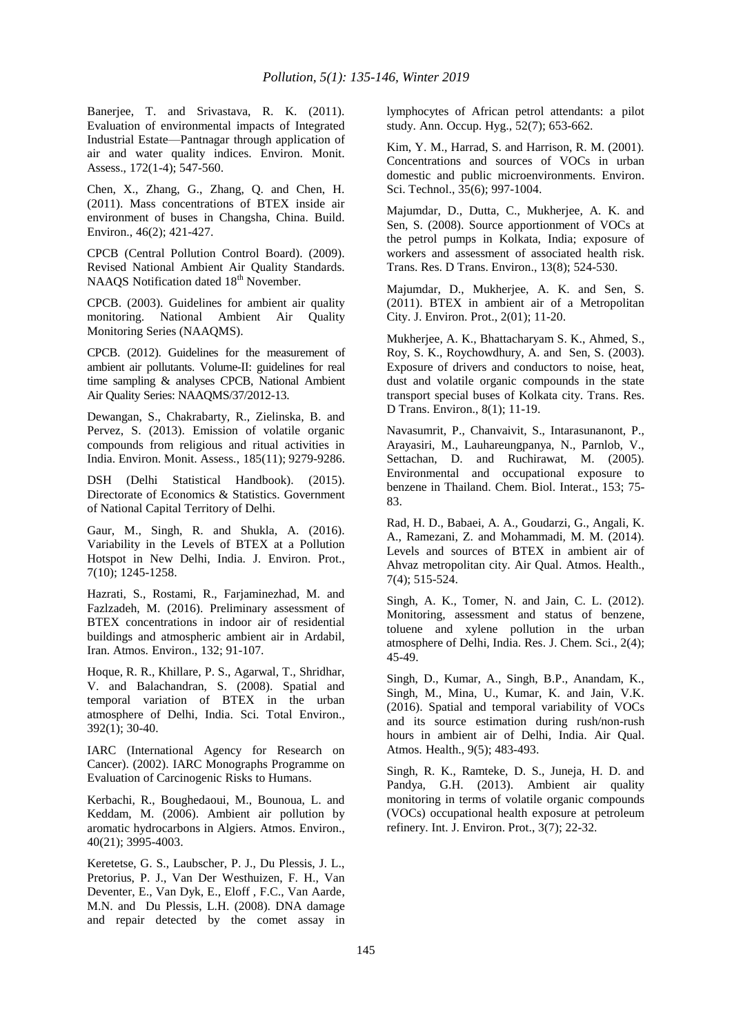Banerjee, T. and Srivastava, R. K. (2011). Evaluation of environmental impacts of Integrated Industrial Estate—Pantnagar through application of air and water quality indices. Environ. Monit. Assess., 172(1-4); 547-560.

Chen, X., Zhang, G., Zhang, Q. and Chen, H. (2011). Mass concentrations of BTEX inside air environment of buses in Changsha, China. Build. Environ., 46(2); 421-427.

CPCB (Central Pollution Control Board). (2009). Revised National Ambient Air Quality Standards. NAAQS Notification dated 18<sup>th</sup> November.

CPCB. (2003). Guidelines for ambient air quality monitoring. National Ambient Air Quality Monitoring Series (NAAQMS).

CPCB. (2012). Guidelines for the measurement of ambient air pollutants. Volume-II: guidelines for real time sampling & analyses CPCB, National Ambient Air Quality Series: NAAQMS/37/2012-13.

Dewangan, S., Chakrabarty, R., Zielinska, B. and Pervez, S. (2013). Emission of volatile organic compounds from religious and ritual activities in India. Environ. Monit. Assess., 185(11); 9279-9286.

DSH (Delhi Statistical Handbook). (2015). Directorate of Economics & Statistics. Government of National Capital Territory of Delhi.

Gaur, M., Singh, R. and Shukla, A. (2016). Variability in the Levels of BTEX at a Pollution Hotspot in New Delhi, India. J. Environ. Prot., 7(10); 1245-1258.

Hazrati, S., Rostami, R., Farjaminezhad, M. and Fazlzadeh, M. (2016). Preliminary assessment of BTEX concentrations in indoor air of residential buildings and atmospheric ambient air in Ardabil, Iran. Atmos. Environ., 132; 91-107.

Hoque, R. R., Khillare, P. S., Agarwal, T., Shridhar, V. and Balachandran, S. (2008). Spatial and temporal variation of BTEX in the urban atmosphere of Delhi, India. Sci. Total Environ., 392(1); 30-40.

IARC (International Agency for Research on Cancer). (2002). IARC Monographs Programme on Evaluation of Carcinogenic Risks to Humans.

Kerbachi, R., Boughedaoui, M., Bounoua, L. and Keddam, M. (2006). Ambient air pollution by aromatic hydrocarbons in Algiers. Atmos. Environ., 40(21); 3995-4003.

Keretetse, G. S., Laubscher, P. J., Du Plessis, J. L., Pretorius, P. J., Van Der Westhuizen, F. H., Van Deventer, E., Van Dyk, E., Eloff , F.C., Van Aarde, M.N. and Du Plessis, L.H. (2008). DNA damage and repair detected by the comet assay in lymphocytes of African petrol attendants: a pilot study. Ann. Occup. Hyg., 52(7); 653-662.

Kim, Y. M., Harrad, S. and Harrison, R. M. (2001). Concentrations and sources of VOCs in urban domestic and public microenvironments. Environ. Sci. Technol., 35(6); 997-1004.

Majumdar, D., Dutta, C., Mukherjee, A. K. and Sen, S. (2008). Source apportionment of VOCs at the petrol pumps in Kolkata, India; exposure of workers and assessment of associated health risk. Trans. Res. D Trans. Environ., 13(8); 524-530.

Majumdar, D., Mukherjee, A. K. and Sen, S. (2011). BTEX in ambient air of a Metropolitan City. J. Environ. Prot., 2(01); 11-20.

Mukherjee, A. K., Bhattacharyam S. K., Ahmed, S., Roy, S. K., Roychowdhury, A. and Sen, S. (2003). Exposure of drivers and conductors to noise, heat, dust and volatile organic compounds in the state transport special buses of Kolkata city. Trans. Res. D Trans. Environ., 8(1); 11-19.

Navasumrit, P., Chanvaivit, S., Intarasunanont, P., Arayasiri, M., Lauhareungpanya, N., Parnlob, V., Settachan, D. and Ruchirawat, M. (2005). Environmental and occupational exposure to benzene in Thailand. Chem. Biol. Interat., 153; 75- 83.

Rad, H. D., Babaei, A. A., Goudarzi, G., Angali, K. A., Ramezani, Z. and Mohammadi, M. M. (2014). Levels and sources of BTEX in ambient air of Ahvaz metropolitan city. Air Qual. Atmos. Health., 7(4); 515-524.

Singh, A. K., Tomer, N. and Jain, C. L. (2012). Monitoring, assessment and status of benzene, toluene and xylene pollution in the urban atmosphere of Delhi, India. Res. J. Chem. Sci., 2(4); 45-49.

Singh, D., Kumar, A., Singh, B.P., Anandam, K., Singh, M., Mina, U., Kumar, K. and Jain, V.K. (2016). Spatial and temporal variability of VOCs and its source estimation during rush/non-rush hours in ambient air of Delhi, India. Air Qual. Atmos. Health., 9(5); 483-493.

Singh, R. K., Ramteke, D. S., Juneja, H. D. and Pandya, G.H. (2013). Ambient air quality monitoring in terms of volatile organic compounds (VOCs) occupational health exposure at petroleum refinery. Int. J. Environ. Prot., 3(7); 22-32.